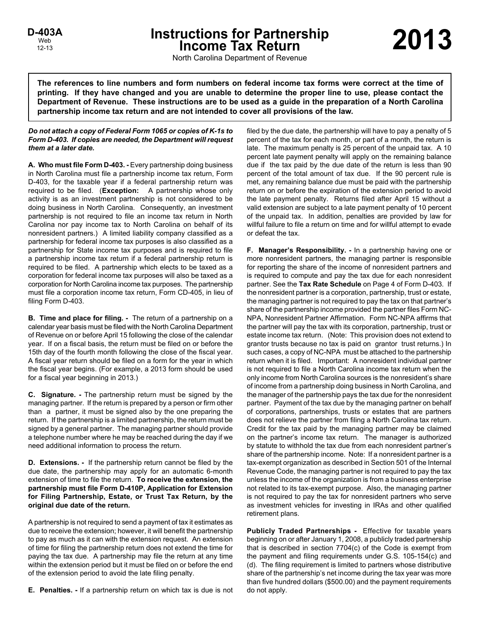# **Instructions for Partnership Income Tax Return 2013 D-403A**

North Carolina Department of Revenue

**The references to line numbers and form numbers on federal income tax forms were correct at the time of printing. If they have changed and you are unable to determine the proper line to use, please contact the Department of Revenue. These instructions are to be used as a guide in the preparation of a North Carolina partnership income tax return and are not intended to cover all provisions of the law.**

## *Do not attach a copy of Federal Form 1065 or copies of K-1s to Form D-403. If copies are needed, the Department will request them at a later date.*

**A. Who must file Form D-403. - Every partnership doing business** in North Carolina must file a partnership income tax return, Form D-403, for the taxable year if a federal partnership return was required to be filed. (**Exception:** A partnership whose only activity is as an investment partnership is not considered to be doing business in North Carolina. Consequently, an investment partnership is not required to file an income tax return in North Carolina nor pay income tax to North Carolina on behalf of its nonresident partners.) A limited liability company classified as a partnership for federal income tax purposes is also classified as a partnership for State income tax purposes and is required to file a partnership income tax return if a federal partnership return is required to be filed. A partnership which elects to be taxed as a corporation for federal income tax purposes will also be taxed as a corporation for North Carolina income tax purposes. The partnership must file a corporation income tax return, Form CD-405, in lieu of filing Form D-403.

**B. Time and place for filing. -** The return of a partnership on a calendar year basis must be filed with the North Carolina Department of Revenue on or before April 15 following the close of the calendar year. If on a fiscal basis, the return must be filed on or before the 15th day of the fourth month following the close of the fiscal year. A fiscal year return should be filed on a form for the year in which the fiscal year begins. (For example, a 2013 form should be used for a fiscal year beginning in 2013.)

**C. Signature. -** The partnership return must be signed by the managing partner. If the return is prepared by a person or firm other than a partner, it must be signed also by the one preparing the return. If the partnership is a limited partnership, the return must be signed by a general partner. The managing partner should provide a telephone number where he may be reached during the day if we need additional information to process the return.

**D. Extensions. -** If the partnership return cannot be filed by the due date, the partnership may apply for an automatic 6-month extension of time to file the return. **To receive the extension, the partnership must file Form D-410P, Application for Extension for Filing Partnership, Estate, or Trust Tax Return, by the original due date of the return.**

A partnership is not required to send a payment of tax it estimates as due to receive the extension; however, it will benefit the partnership to pay as much as it can with the extension request. An extension of time for filing the partnership return does not extend the time for paying the tax due. A partnership may file the return at any time within the extension period but it must be filed on or before the end of the extension period to avoid the late filing penalty.

**E. Penalties. -** If a partnership return on which tax is due is not

filed by the due date, the partnership will have to pay a penalty of 5 percent of the tax for each month, or part of a month, the return is late. The maximum penalty is 25 percent of the unpaid tax. A 10 percent late payment penalty will apply on the remaining balance due if the tax paid by the due date of the return is less than 90 percent of the total amount of tax due. If the 90 percent rule is met, any remaining balance due must be paid with the partnership return on or before the expiration of the extension period to avoid the late payment penalty. Returns filed after April 15 without a valid extension are subject to a late payment penalty of 10 percent of the unpaid tax. In addition, penalties are provided by law for willful failure to file a return on time and for willful attempt to evade or defeat the tax.

**F. Manager's Responsibility. -** In a partnership having one or more nonresident partners, the managing partner is responsible for reporting the share of the income of nonresident partners and is required to compute and pay the tax due for each nonresident partner. See the **Tax Rate Schedule** on Page 4 of Form D-403. If the nonresident partner is a corporation, partnership, trust or estate, the managing partner is not required to pay the tax on that partner's share of the partnership income provided the partner files Form NC-NPA, Nonresident Partner Affirmation. Form NC-NPA affirms that the partner will pay the tax with its corporation, partnership, trust or estate income tax return. (Note: This provision does not extend to grantor trusts because no tax is paid on grantor trust returns.) In such cases, a copy of NC-NPA must be attached to the partnership return when it is filed. Important: A nonresident individual partner is not required to file a North Carolina income tax return when the only income from North Carolina sources is the nonresident's share of income from a partnership doing business in North Carolina, and the manager of the partnership pays the tax due for the nonresident partner. Payment of the tax due by the managing partner on behalf of corporations, partnerships, trusts or estates that are partners does not relieve the partner from filing a North Carolina tax return. Credit for the tax paid by the managing partner may be claimed on the partner's income tax return. The manager is authorized by statute to withhold the tax due from each nonresident partner's share of the partnership income. Note: If a nonresident partner is a tax-exempt organization as described in Section 501 of the Internal Revenue Code, the managing partner is not required to pay the tax unless the income of the organization is from a business enterprise not related to its tax-exempt purpose. Also, the managing partner is not required to pay the tax for nonresident partners who serve as investment vehicles for investing in IRAs and other qualified retirement plans.

**Publicly Traded Partnerships -** Effective for taxable years beginning on or after January 1, 2008, a publicly traded partnership that is described in section 7704(c) of the Code is exempt from the payment and filing requirements under G.S. 105-154(c) and (d). The filing requirement is limited to partners whose distributive share of the partnership's net income during the tax year was more than five hundred dollars (\$500.00) and the payment requirements do not apply.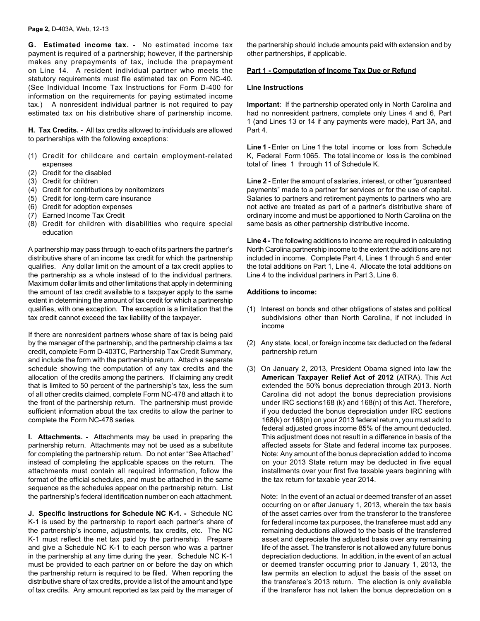**G. Estimated income tax. -** No estimated income tax payment is required of a partnership; however, if the partnership makes any prepayments of tax, include the prepayment on Line 14. A resident individual partner who meets the statutory requirements must file estimated tax on Form NC-40. (See Individual Income Tax Instructions for Form D-400 for information on the requirements for paying estimated income tax.) A nonresident individual partner is not required to pay estimated tax on his distributive share of partnership income.

**H. Tax Credits. -** All tax credits allowed to individuals are allowed to partnerships with the following exceptions:

- (1) Credit for childcare and certain employment-related expenses
- (2) Credit for the disabled
- (3) Credit for children
- (4) Credit for contributions by nonitemizers
- (5) Credit for long-term care insurance
- (6) Credit for adoption expenses
- (7) Earned Income Tax Credit
- (8) Credit for children with disabilities who require special education

A partnership may pass through to each of its partners the partner's distributive share of an income tax credit for which the partnership qualifies. Any dollar limit on the amount of a tax credit applies to the partnership as a whole instead of to the individual partners. Maximum dollar limits and other limitations that apply in determining the amount of tax credit available to a taxpayer apply to the same extent in determining the amount of tax credit for which a partnership qualifies, with one exception. The exception is a limitation that the tax credit cannot exceed the tax liability of the taxpayer.

If there are nonresident partners whose share of tax is being paid by the manager of the partnership, and the partnership claims a tax credit, complete Form D-403TC, Partnership Tax Credit Summary, and include the form with the partnership return. Attach a separate schedule showing the computation of any tax credits and the allocation of the credits among the partners. If claiming any credit that is limited to 50 percent of the partnership's tax, less the sum of all other credits claimed, complete Form NC-478 and attach it to the front of the partnership return. The partnership must provide sufficient information about the tax credits to allow the partner to complete the Form NC-478 series.

**I. Attachments. -** Attachments may be used in preparing the partnership return. Attachments may not be used as a substitute for completing the partnership return. Do not enter "See Attached" instead of completing the applicable spaces on the return. The attachments must contain all required information, follow the format of the official schedules, and must be attached in the same sequence as the schedules appear on the partnership return. List the partnership's federal identification number on each attachment.

**J. Specific instructions for Schedule NC K-1. -** Schedule NC K-1 is used by the partnership to report each partner's share of the partnership's income, adjustments, tax credits, etc. The NC K-1 must reflect the net tax paid by the partnership. Prepare and give a Schedule NC K-1 to each person who was a partner in the partnership at any time during the year. Schedule NC K-1 must be provided to each partner on or before the day on which the partnership return is required to be filed. When reporting the distributive share of tax credits, provide a list of the amount and type of tax credits. Any amount reported as tax paid by the manager of the partnership should include amounts paid with extension and by other partnerships, if applicable.

# **Part 1 - Computation of Income Tax Due or Refund**

#### **Line Instructions**

**Important**: If the partnership operated only in North Carolina and had no nonresident partners, complete only Lines 4 and 6, Part 1 (and Lines 13 or 14 if any payments were made), Part 3A, and Part 4.

**Line 1 -** Enter on Line 1 the total income or loss from Schedule K, Federal Form 1065. The total income or loss is the combined total of lines 1 through 11 of Schedule K.

Line 2 - Enter the amount of salaries, interest, or other "guaranteed" payments" made to a partner for services or for the use of capital. Salaries to partners and retirement payments to partners who are not active are treated as part of a partner's distributive share of ordinary income and must be apportioned to North Carolina on the same basis as other partnership distributive income.

**Line 4 -** The following additions to income are required in calculating North Carolina partnership income to the extent the additions are not included in income. Complete Part 4, Lines 1 through 5 and enter the total additions on Part 1, Line 4. Allocate the total additions on Line 4 to the individual partners in Part 3, Line 6.

#### **Additions to income:**

- (1) Interest on bonds and other obligations of states and political subdivisions other than North Carolina, if not included in income
- (2) Any state, local, or foreign income tax deducted on the federal partnership return
- (3) On January 2, 2013, President Obama signed into law the **American Taxpayer Relief Act of 2012** (ATRA). This Act extended the 50% bonus depreciation through 2013. North Carolina did not adopt the bonus depreciation provisions under IRC sections168 (k) and 168(n) of this Act. Therefore, if you deducted the bonus depreciation under IRC sections 168(k) or 168(n) on your 2013 federal return, you must add to federal adjusted gross income 85% of the amount deducted. This adjustment does not result in a difference in basis of the affected assets for State and federal income tax purposes. Note: Any amount of the bonus depreciation added to income on your 2013 State return may be deducted in five equal installments over your first five taxable years beginning with the tax return for taxable year 2014.

Note: In the event of an actual or deemed transfer of an asset occurring on or after January 1, 2013, wherein the tax basis of the asset carries over from the transferor to the transferee for federal income tax purposes, the transferee must add any remaining deductions allowed to the basis of the transferred asset and depreciate the adjusted basis over any remaining life of the asset. The transferor is not allowed any future bonus depreciation deductions. In addition, in the event of an actual or deemed transfer occurring prior to January 1, 2013, the law permits an election to adjust the basis of the asset on the transferee's 2013 return. The election is only available if the transferor has not taken the bonus depreciation on a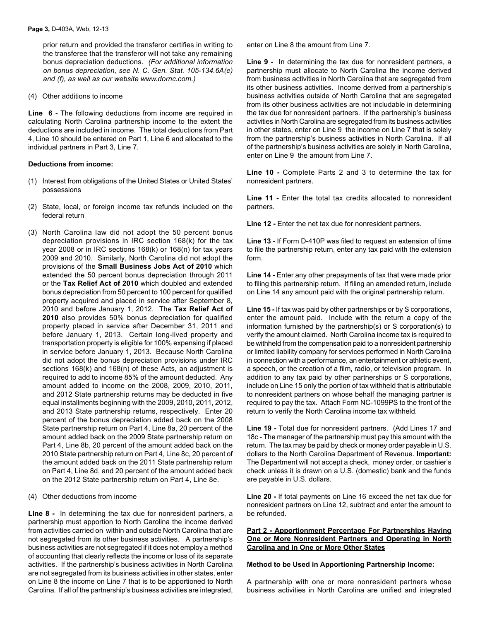prior return and provided the transferor certifies in writing to the transferee that the transferor will not take any remaining bonus depreciation deductions. *(For additional information on bonus depreciation, see N. C. Gen. Stat. 105-134.6A(e) and (f), as well as our website www.dornc.com.)*

(4) Other additions to income

**Line 6 -** The following deductions from income are required in calculating North Carolina partnership income to the extent the deductions are included in income. The total deductions from Part 4, Line 10 should be entered on Part 1, Line 6 and allocated to the individual partners in Part 3, Line 7.

#### **Deductions from income:**

- (1) Interest from obligations of the United States or United States' possessions
- (2) State, local, or foreign income tax refunds included on the federal return
- (3) North Carolina law did not adopt the 50 percent bonus depreciation provisions in IRC section 168(k) for the tax year 2008 or in IRC sections 168(k) or 168(n) for tax years 2009 and 2010. Similarly, North Carolina did not adopt the provisions of the **Small Business Jobs Act of 2010** which extended the 50 percent bonus depreciation through 2011 or the **Tax Relief Act of 2010** which doubled and extended bonus depreciation from 50 percent to 100 percent for qualified property acquired and placed in service after September 8, 2010 and before January 1, 2012. The **Tax Relief Act of 2010** also provides 50% bonus depreciation for qualified property placed in service after December 31, 2011 and before January 1, 2013. Certain long-lived property and transportation property is eligible for 100% expensing if placed in service before January 1, 2013. Because North Carolina did not adopt the bonus depreciation provisions under IRC sections 168(k) and 168(n) of these Acts, an adjustment is required to add to income 85% of the amount deducted. Any amount added to income on the 2008, 2009, 2010, 2011, and 2012 State partnership returns may be deducted in five equal installments beginning with the 2009, 2010, 2011, 2012, and 2013 State partnership returns, respectively. Enter 20 percent of the bonus depreciation added back on the 2008 State partnership return on Part 4, Line 8a, 20 percent of the amount added back on the 2009 State partnership return on Part 4, Line 8b, 20 percent of the amount added back on the 2010 State partnership return on Part 4, Line 8c, 20 percent of the amount added back on the 2011 State partnership return on Part 4, Line 8d, and 20 percent of the amount added back on the 2012 State partnership return on Part 4, Line 8e.

#### (4) Other deductions from income

**Line 8 -** In determining the tax due for nonresident partners, a partnership must apportion to North Carolina the income derived from activities carried on within and outside North Carolina that are not segregated from its other business activities. A partnership's business activities are not segregated if it does not employ a method of accounting that clearly reflects the income or loss of its separate activities. If the partnership's business activities in North Carolina are not segregated from its business activities in other states, enter on Line 8 the income on Line 7 that is to be apportioned to North Carolina. If all of the partnership's business activities are integrated, enter on Line 8 the amount from Line 7.

**Line 9 -** In determining the tax due for nonresident partners, a partnership must allocate to North Carolina the income derived from business activities in North Carolina that are segregated from its other business activities. Income derived from a partnership's business activities outside of North Carolina that are segregated from its other business activities are not includable in determining the tax due for nonresident partners. If the partnership's business activities in North Carolina are segregated from its business activities in other states, enter on Line 9 the income on Line 7 that is solely from the partnership's business activities in North Carolina. If all of the partnership's business activities are solely in North Carolina, enter on Line 9 the amount from Line 7.

**Line 10 -** Complete Parts 2 and 3 to determine the tax for nonresident partners.

**Line 11 -** Enter the total tax credits allocated to nonresident partners.

**Line 12 -** Enter the net tax due for nonresident partners.

**Line 13 -** If Form D-410P was filed to request an extension of time to file the partnership return, enter any tax paid with the extension form.

**Line 14 -** Enter any other prepayments of tax that were made prior to filing this partnership return. If filing an amended return, include on Line 14 any amount paid with the original partnership return.

**Line 15 -** If tax was paid by other partnerships or by S corporations, enter the amount paid. Include with the return a copy of the information furnished by the partnership(s) or S corporation(s) to verify the amount claimed. North Carolina income tax is required to be withheld from the compensation paid to a nonresident partnership or limited liability company for services performed in North Carolina in connection with a performance, an entertainment or athletic event, a speech, or the creation of a film, radio, or television program. In addition to any tax paid by other partnerships or S corporations, include on Line 15 only the portion of tax withheld that is attributable to nonresident partners on whose behalf the managing partner is required to pay the tax. Attach Form NC-1099PS to the front of the return to verify the North Carolina income tax withheld.

**Line 19 -** Total due for nonresident partners. (Add Lines 17 and 18c - The manager of the partnership must pay this amount with the return. The tax may be paid by check or money order payable in U.S. dollars to the North Carolina Department of Revenue. **Important:** The Department will not accept a check, money order, or cashier's check unless it is drawn on a U.S. (domestic) bank and the funds are payable in U.S. dollars.

**Line 20 -** If total payments on Line 16 exceed the net tax due for nonresident partners on Line 12, subtract and enter the amount to be refunded.

## **Part 2 - Apportionment Percentage For Partnerships Having One or More Nonresident Partners and Operating in North Carolina and in One or More Other States**

#### **Method to be Used in Apportioning Partnership Income:**

A partnership with one or more nonresident partners whose business activities in North Carolina are unified and integrated